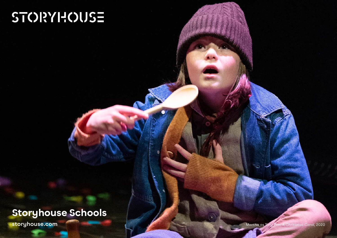# STORYHOUSE

# Storyhouse Schools

**storyhouse.com** Martha as Tiny Tim, *A Christmas Carol*, 2020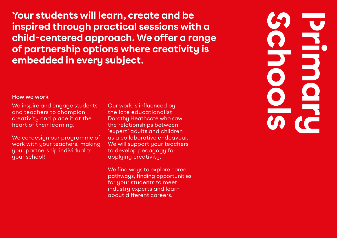Your students will learn, create and be inspired through practical sessions with a child-centered approach. We offer a range of partnership options where creativity is embedded in every subject.

# Schools<br>Schools **Primary**

## **How we work**

We inspire and engage students and teachers to champion creativity and place it at the heart of their learning.

We co-design our programme of work with your teachers, making your partnership individual to your school!

Our work is influenced by the late educationalist Dorothy Heathcote who saw the relationships between 'expert' adults and children as a collaborative endeavour. We will support your teachers to develop pedagogy for applying creativity.

We find ways to explore career pathways, finding opportunities for your students to meet industry experts and learn about different careers.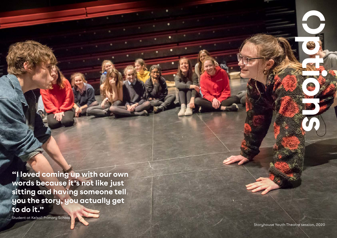"I loved coming up with our own words because it's not like just sitting and having someone tell you the story, you actually get to do it."

Student at Kelsall Primary School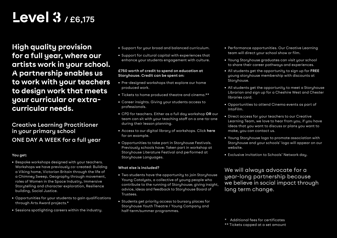# Level 3 **/ £6,175**

High quality provision for a full year, where our artists work in your school. A partnership enables us to work with your teachers to design work that meets your curricular or extracurricular needs.

# **Creative Learning Practitioner in your primary school ONE DAY A WEEK for a full year**

## **You get:**

- Bespoke workshops designed with your teachers. Workshops we have previously co-created: Building a Viking home, Victorian Britain through the life of a Chimney Sweep, Geography through movement, roles of Women in the Space Industry, Immersive Storytelling and character exploration, Resilience building, Social Justice.
- Opportunities for your students to gain qualifications through Arts Award projects.\*
- Sessions spotlighting careers within the industry.
- Support for your broad and balanced curriculum.
- Support for cultural capital with experiences that enhance your students engagement with culture.

### **£750 worth of credit to spend on education at Storyhouse. Credit can be spent on:**

- Pre-designed workshops that explore our home produced work.
- Tickets to home produced theatre and cinema.\*\*
- Career insights. Giving your students access to professionals.
- CPD for teachers. Either as a full day workshop **OR** our team can sit with your teaching staff on a one-to-one during their lesson planning.
- Access to our digital library of workshops. Click **[here](https://www.youtube.com/watch?v=YRQxHtOmfKM)** for an example.
- Opportunities to take part in Storyhouse Festivals. Previously schools have: Taken part in workshop at Storyhouse Literature Festival and performed at Storyhouse Languages.

## **What else is included?**

- Two students have the opportunity to join Storyhouse Young Catalysts, a collective of young people who contribute to the running of Storyhouse; giving insight, advice, ideas and feedback to Storyhouse Board of Trustees.
- Students get priority access to bursary places for Storyhouse Youth Theatre / Young Company and half-term/summer programmes.
- Performance opportunities. Our Creative Learning team will direct your school show or film.
- Young Storyhouse graduates can visit your school to share their career pathways and experiences.
- All students get the opportunity to sign up for **FREE**  young storyhouse membership with discounts at Storyhouse.
- All students get the opportunity to meet a Storyhouse Librarian and sign up for a Cheshire West and Chester libraries card.
- Opportunities to attend Cinema events as part of IntoFilm.
- Direct access for your teachers to our Creative Learning Team, we love to hear from you, if you have ideas that you want to discuss or plans you want to make, you can contact us.
- Young Storyhouse logo to promote association with Storyhouse and your schools' logo will appear on our website.
- Exclusive invitation to Schools' Network day.

We will always advocate for a year-long partnership because we believe in social impact through long term change.

\*\* Tickets capped at a set amount

<sup>\*</sup> Additional fees for certificates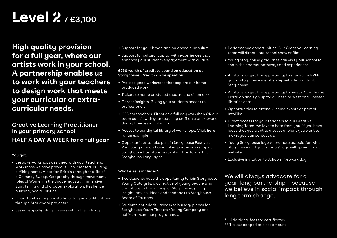# Level 2 **/ £3,100**

High quality provision for a full year, where our artists work in your school. A partnership enables us to work with your teachers to design work that meets your curricular or extracurricular needs.

## **Creative Learning Practitioner in your primary school HALF A DAY A WEEK for a full year**

## **You get:**

- Bespoke workshops designed with your teachers. Workshops we have previously co-created: Building a Viking home, Victorian Britain through the life of a Chimney Sweep, Geography through movement, roles of Women in the Space Industry, Immersive Storytelling and character exploration, Resilience building, Social Justice.
- Opportunities for your students to gain qualifications through Arts Award projects.\*
- Sessions spotlighting careers within the industry.
- Support for your broad and balanced curriculum.
- Support for cultural capital with experiences that enhance your students engagement with culture.

## **£750 worth of credit to spend on education at Storyhouse. Credit can be spent on:**

- Pre-designed workshops that explore our home produced work.
- Tickets to home produced theatre and cinema.\*\*
- Career insights. Giving your students access to professionals.
- CPD for teachers. Either as a full day workshop **OR** our team can sit with your teaching staff on a one-to-one during their lesson planning.
- Access to our digital library of workshops. Click **[here](https://www.youtube.com/watch?v=YRQxHtOmfKM)** for an example.
- Opportunities to take part in Storyhouse Festivals. Previously schools have: Taken part in workshop at Storyhouse Literature Festival and performed at Storyhouse Languages.

## **What else is included?**

- Two students have the opportunity to join Storyhouse Young Catalysts, a collective of young people who contribute to the running of Storyhouse; giving insight, advice, ideas and feedback to Storyhouse Board of Trustees.
- Students get priority access to bursary places for Storyhouse Youth Theatre / Young Company and half-term/summer programmes.
- Performance opportunities. Our Creative Learning team will direct your school show or film.
- Young Storyhouse graduates can visit your school to share their career pathways and experiences.
- All students get the opportunity to sign up for **FREE** young storyhouse membership with discounts at Storyhouse.
- All students get the opportunity to meet a Storyhouse Librarian and sign up for a Cheshire West and Chester libraries card.
- Opportunities to attend Cinema events as part of IntoFilm.
- Direct access for your teachers to our Creative Learning Team, we love to hear from you, if you have ideas that you want to discuss or plans you want to make, you can contact us.
- Young Storyhouse logo to promote association with Storyhouse and your schools' logo will appear on our website.
- Exclusive invitation to Schools' Network day.

We will always advocate for a year-long partnership - because we believe in social impact through long term change.

<sup>\*</sup> Additional fees for certificates

<sup>\*\*</sup> Tickets capped at a set amount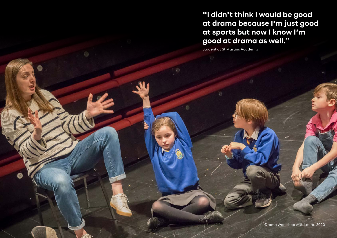"I didn't think I would be good at drama because I'm just good at sports but now I know I'm good at drama as well."

Student at St Martins Academy

Drama Workshop with Laura, 2020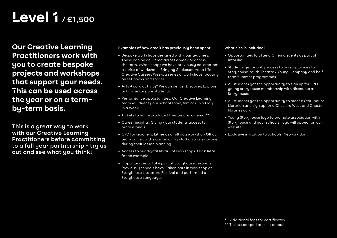# Level 1 **/ £1,500**

Our Creative Learning Practitioners work with you to create bespoke projects and workshops that support your needs. This can be used across the year or on a termby-term basis.

**This is a great way to work with our Creative Learning Practitioners before committing to a full year partnership - try us out and see what you think!**

#### **Examples of how credit has previously been spent:**

- Bespoke workshops designed with your teachers. These can be delivered across a week or across the term. wWorkshops we have previously co-created: a series of workshops Bringing Shakespeare to Life, Creative Careers Week, a series of workshops focusing on set books and stories.
- Arts Award activity\* We can deliver Discover, Explore or Bronze for your students.
- Performance opportunities. Our Creative Learning team will direct your school show, film or run a Play in a Week.
- Tickets to home produced theatre and cinema.\*\*
- Career insights. Giving your students access to professionals.
- CPD for teachers. Either as a full day workshop **OR** our team can sit with your teaching staff on a one-to-one during their lesson planning.
- Access to our digital library of workshops. Click **[here](https://www.youtube.com/watch?v=YRQxHtOmfKM)** for an example.
- Opportunities to take part at Storyhouse Festivals. Previously schools have: Taken part in workshop at Storyhouse Literature Festival and performed at Storyhouse Languages.

#### **What else is included?**

- Opportunities to attend Cinema events as part of IntoFilm.
- Students get priority access to bursary places for Storyhouse Youth Theatre / Young Company and halfterm/summer programmes.
- All students get the opportunity to sign up for **FREE** young storyhouse membership with discounts at Storyhouse.
- All students get the opportunity to meet a Storyhouse Librarian and sign up for a Cheshire West and Chester libraries card.
- Young Storyhouse logo to promote association with Storyhouse and your schools' logo will appear on our website.
- Exclusive invitation to Schools' Network day.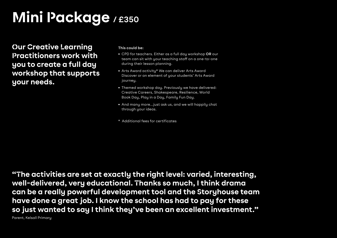# Mini Package **/ £350**

Our Creative Learning Practitioners work with you to create a full day workshop that supports your needs.

#### **This could be:**

- CPD for teachers. Either as a full day workshop **OR** our team can sit with your teaching staff on a one-to-one during their lesson planning.
- Arts Award activity\* We can deliver Arts Award Discover or an element of your students' Arts Award journey.
- Themed workshop day. Previously we have delivered: Creative Careers, Shakespeare, Resilience, World Book Day, Play in a Day, Family Fun Day.
- And many more...just ask us, and we will happily chat through your ideas.
- \* Additional fees for certificates

"The activities are set at exactly the right level: varied, interesting, well-delivered, very educational. Thanks so much, I think drama can be a really powerful development tool and the Storyhouse team have done a great job. I know the school has had to pay for these so just wanted to say I think they've been an excellent investment." Parent, Kelsall Primary